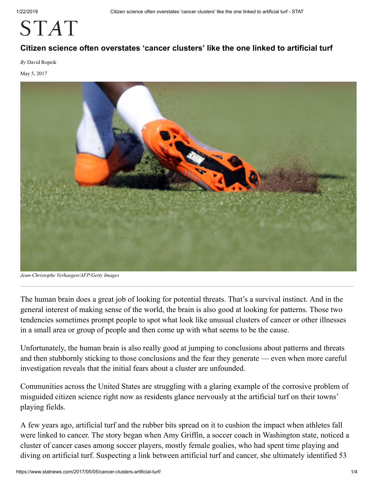# **STAT**

#### **Citizen science often overstates 'cancer clusters' like the one linked to artificial turf**

*By* David Ropeik

May 5, 2017



*Jean-Christophe Verhaegen/AFP/Getty Images*

T he human brain does a great job of looking for potential threats. That's a survival instinct. And in the general interest of making sense of the world, the brain is also good at looking for patterns. Those two tendencies sometimes prompt people to spot what look like unusual clusters of cancer or other illnesses in a small area or group of people and then come up with what seems to be the cause.

Unfortunately, the human brain is also really good at jumping to conclusions about patterns and threats and then stubbornly sticking to those conclusions and the fear they generate — even when more careful investigation reveals that the initial fears about a cluster are unfounded.

Communities across the United States are struggling with a glaring example of the corrosive problem of misguided citizen science right now as residents glance nervously at the artificial turf on their towns' playing fields.

A few years ago, artificial turf and the rubber bits spread on it to cushion the impact when athletes fall were linked to cancer. The story began when Amy Griffin, a soccer coach in Washington state, noticed a cluster of cancer cases among soccer players, mostly female goalies, who had spent time playing and diving on artificial turf. Suspecting a link between artificial turf and cancer, she ultimately identified 53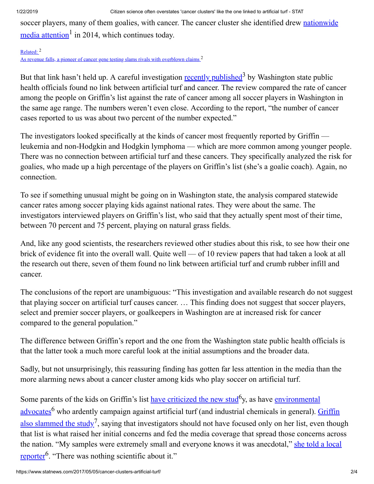[soccer players, many of them goalies, with cancer. The cancer cluster she identified drew nationwide](http://www.nbcnews.com/storyline/artificial-turf-debate/how-safe-artificial-turf-your-child-plays-n220166)  $\frac{\text{median}}{\text{median}}$  in 2014, which continues today.

#### [Related:](https://www.statnews.com/2016/11/29/brca-cancer-myriad-genetic-tests/) <sup>2</sup> [As revenue falls, a pioneer of cancer gene testing slams rivals with overblown claims](https://www.statnews.com/2016/11/29/brca-cancer-myriad-genetic-tests/) <sup>2</sup>

But that link hasn't held up. A careful investigation [recently published](http://www.doh.wa.gov/Portals/1/Documents/Pubs/210-091.pdf)<sup>3</sup> by Washington state public health officials found no link between artificial turf and cancer. The review compared the rate of cancer among the people on Griffin's list against the rate of cancer among all soccer players in Washington in the same age range. The numbers weren't even close. According to the report, "the number of cancer cases reported to us was about two percent of the number expected."

The investigators looked specifically at the kinds of cancer most frequently reported by Griffin leukemia and non-Hodgkin and Hodgkin lymphoma — which are more common among younger people. There was no connection between artificial turf and these cancers. They specifically analyzed the risk for goalies, who made up a high percentage of the players on Griffin's list (she's a goalie coach). Again, no connection.

To see if something unusual might be going on in Washington state, the analysis compared statewide cancer rates among soccer playing kids against national rates. They were about the same. The investigators interviewed players on Griffin's list, who said that they actually spent most of their time, between 70 percent and 75 percent, playing on natural grass fields.

And, like any good scientists, the researchers reviewed other studies about this risk, to see how their one brick of evidence fit into the overall wall. Quite well — of 10 review papers that had taken a look at all the research out there, seven of them found no link between artificial turf and crumb rubber infill and cancer.

The conclusions of the report are unambiguous: "This investigation and available research do not suggest that playing soccer on artificial turf causes cancer. … This finding does not suggest that soccer players, select and premier soccer players, or goalkeepers in Washington are at increased risk for cancer compared to the general population."

The difference between Griffin's report and the one from the Washington state public health officials is that the latter took a much more careful look at the initial assumptions and the broader data.

Sadly, but not unsurprisingly, this reassuring finding has gotten far less attention in the media than the more alarming news about a cancer cluster among kids who play soccer on artificial turf.

Some parents of the kids on Griffin's list [have criticized the new stud](http://www.bainbridgereview.com/sports/health-study-on-rubber-turf-comes-under-heavy-scrutiny/)<sup>6</sup>y, as have environmental advocates<sup>6</sup> [who ardently campaign against artificial turf \(and industrial chemicals in general\). Griffin](http://denver.cbslocal.com/2017/01/26/turf-battle-new-study-finds-no-increased-cancer-risk-in-soccer-players/) also slammed the study<sup>7</sup>, saying that investigators should not have focused only on her list, even though that list is what raised her initial concerns and fed the media coverage that spread those concerns across [the nation. "My samples were extremely small and everyone knows it was anecdotal," she told a local](http://www.bainbridgereview.com/sports/health-study-on-rubber-turf-comes-under-heavy-scrutiny/) reporter<sup>6</sup>. "There was nothing scientific about it."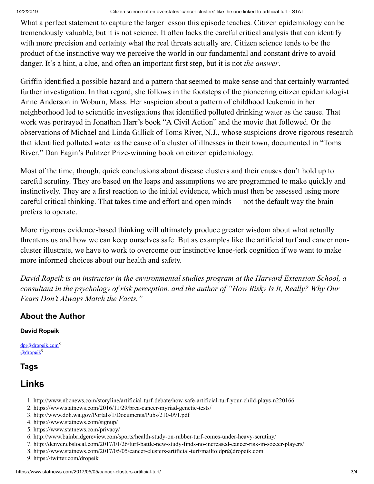#### 1/22/2019 Citizen science often overstates 'cancer clusters' like the one linked to artificial turf - STAT

What a perfect statement to capture the larger lesson this episode teaches. Citizen epidemiology can be tremendously valuable, but it is not science. It often lacks the careful critical analysis that can identify with more precision and certainty what the real threats actually are. Citizen science tends to be the product of the instinctive way we perceive the world in our fundamental and constant drive to avoid danger. It's a hint, a clue, and often an important first step, but it is not *the answer*.

Griffin identified a possible hazard and a pattern that seemed to make sense and that certainly warranted further investigation. In that regard, she follows in the footsteps of the pioneering citizen epidemiologist Anne Anderson in Woburn, Mass. Her suspicion about a pattern of childhood leukemia in her neighborhood led to scientific investigations that identified polluted drinking water as the cause. That work was portrayed in Jonathan Harr's book "A Civil Action" and the movie that followed. Or the observations of Michael and Linda Gillick of Toms River, N.J., whose suspicions drove rigorous research that identified polluted water as the cause of a cluster of illnesses in their town, documented in "Toms River," Dan Fagin's Pulitzer Prize-winning book on citizen epidemiology.

Most of the time, though, quick conclusions about disease clusters and their causes don't hold up to careful scrutiny. They are based on the leaps and assumptions we are programmed to make quickly and instinctively. They are a first reaction to the initial evidence, which must then be assessed using more careful critical thinking. That takes time and effort and open minds — not the default way the brain prefers to operate.

More rigorous evidence-based thinking will ultimately produce greater wisdom about what actually threatens us and how we can keep ourselves safe. But as examples like the artificial turf and cancer noncluster illustrate, we have to work to overcome our instinctive knee-jerk cognition if we want to make more informed choices about our health and safety.

*David Ropeik is an instructor in the environmental studies program at the Harvard Extension School, a consultant in the psychology of risk perception, and the author of "How Risky Is It, Really? Why Our Fears Don't Always Match the Facts."*

### **About the Author**

#### **David Ropeik**

[dpr@dropeik.com](mailto:dpr@dropeik.com)<sup>8</sup> [@dropeik](https://twitter.com/dropeik)<sup>9</sup>

### **Tags**

## **Links**

- 1. http://www.nbcnews.com/storyline/artificial-turf-debate/how-safe-artificial-turf-your-child-plays-n220166
- 2. https://www.statnews.com/2016/11/29/brca-cancer-myriad-genetic-tests/
- 3. http://www.doh.wa.gov/Portals/1/Documents/Pubs/210-091.pdf
- 4. https://www.statnews.com/signup/
- 5. https://www.statnews.com/privacy/
- 6. http://www.bainbridgereview.com/sports/health-study-on-rubber-turf-comes-under-heavy-scrutiny/
- 7. http://denver.cbslocal.com/2017/01/26/turf-battle-new-study-finds-no-increased-cancer-risk-in-soccer-players/
- 8. https://www.statnews.com/2017/05/05/cancer-clusters-artificial-turf/mailto:dpr@dropeik.com
- 9. https://twitter.com/dropeik